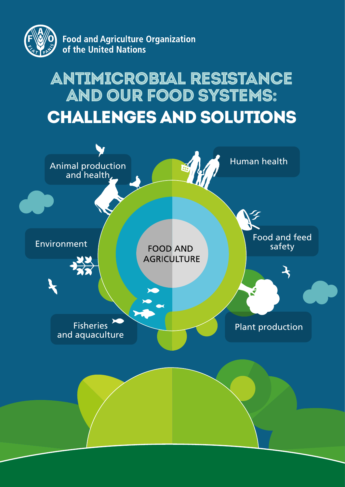

**Food and Agriculture Organization** of the United Nations

# Antimicrobial resistance and our food systems: challenges and solutions

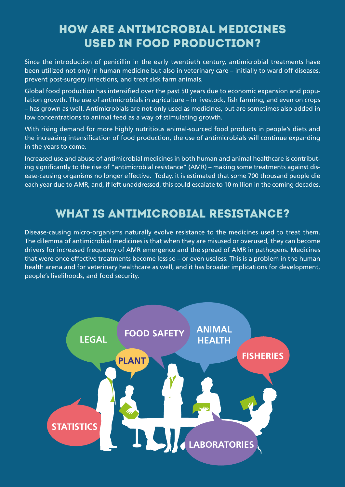# How are antimicrobial medicines used in food production?

Since the introduction of penicillin in the early twentieth century, antimicrobial treatments have been utilized not only in human medicine but also in veterinary care – initially to ward off diseases, prevent post-surgery infections, and treat sick farm animals.

Global food production has intensified over the past 50 years due to economic expansion and population growth. The use of antimicrobials in agriculture – in livestock, fish farming, and even on crops – has grown as well. Antimicrobials are not only used as medicines, but are sometimes also added in low concentrations to animal feed as a way of stimulating growth.

With rising demand for more highly nutritious animal-sourced food products in people's diets and the increasing intensification of food production, the use of antimicrobials will continue expanding in the years to come.

Increased use and abuse of antimicrobial medicines in both human and animal healthcare is contributing significantly to the rise of "antimicrobial resistance" (AMR) – making some treatments against disease-causing organisms no longer effective. Today, it is estimated that some 700 thousand people die each year due to AMR, and, if left unaddressed, this could escalate to 10 million in the coming decades.

### What is antimicrobial resistance?

Disease-causing micro-organisms naturally evolve resistance to the medicines used to treat them. The dilemma of antimicrobial medicines is that when they are misused or overused, they can become drivers for increased frequency of AMR emergence and the spread of AMR in pathogens. Medicines that were once effective treatments become less so – or even useless. This is a problem in the human health arena and for veterinary healthcare as well, and it has broader implications for development, people's livelihoods, and food security.

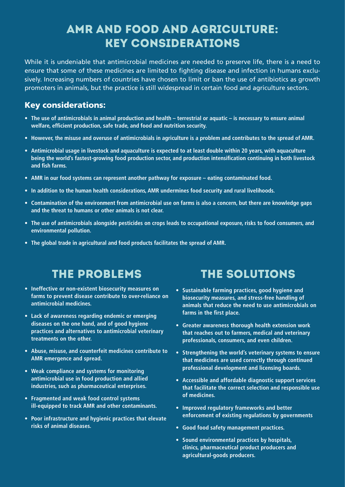### AMR and food and agriculture: key considerations

While it is undeniable that antimicrobial medicines are needed to preserve life, there is a need to ensure that some of these medicines are limited to fighting disease and infection in humans exclusively. Increasing numbers of countries have chosen to limit or ban the use of antibiotics as growth promoters in animals, but the practice is still widespread in certain food and agriculture sectors.

#### Key considerations:

- **• The use of antimicrobials in animal production and health terrestrial or aquatic is necessary to ensure animal welfare, efficient production, safe trade, and food and nutrition security.**
- **• However, the misuse and overuse of antimicrobials in agriculture is a problem and contributes to the spread of AMR.**
- **• Antimicrobial usage in livestock and aquaculture is expected to at least double within 20 years, with aquaculture being the world's fastest-growing food production sector, and production intensification continuing in both livestock and fish farms.**
- **• AMR in our food systems can represent another pathway for exposure eating contaminated food.**
- **• In addition to the human health considerations, AMR undermines food security and rural livelihoods.**
- **• Contamination of the environment from antimicrobial use on farms is also a concern, but there are knowledge gaps and the threat to humans or other animals is not clear.**
- **• The use of antimicrobials alongside pesticides on crops leads to occupational exposure, risks to food consumers, and environmental pollution.**
- **• The global trade in agricultural and food products facilitates the spread of AMR.**

# The problemS

- **Ineffective or non-existent biosecurity measures on farms to prevent disease contribute to over-reliance on antimicrobial medicines.**
- **• Lack of awareness regarding endemic or emerging diseases on the one hand, and of good hygiene practices and alternatives to antimicrobial veterinary treatments on the other.**
- **• Abuse, misuse, and counterfeit medicines contribute to AMR emergence and spread.**
- **• Weak compliance and systems for monitoring antimicrobial use in food production and allied industries, such as pharmaceutical enterprises.**
- **• Fragmented and weak food control systems ill-equipped to track AMR and other contaminants.**
- **• Poor infrastructure and hygienic practices that elevate risks of animal diseases.**

## The solutionS

- **• Sustainable farming practices, good hygiene and biosecurity measures, and stress-free handling of animals that reduce the need to use antimicrobials on farms in the first place.**
- **• Greater awareness thorough health extension work that reaches out to farmers, medical and veterinary professionals, consumers, and even children.**
- **• Strengthening the world's veterinary systems to ensure that medicines are used correctly through continued professional development and licensing boards.**
- **• Accessible and affordable diagnostic support services that facilitate the correct selection and responsible use of medicines.**
- **• Improved regulatory frameworks and better enforcement of existing regulations by governments**
- **• Good food safety management practices.**
- **• Sound environmental practices by hospitals, clinics, pharmaceutical product producers and agricultural-goods producers.**